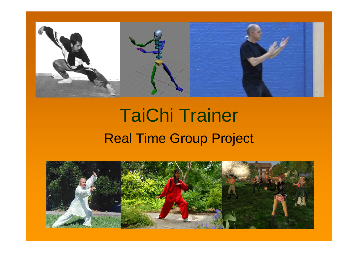

# TaiChi Trainer Real Time Group Project

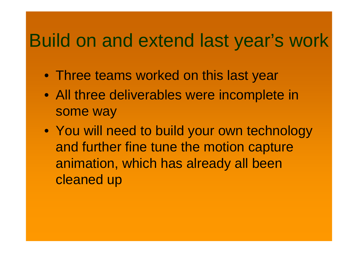### Build on and extend last year's work

- Three teams worked on this last year
- All three deliverables were incomplete in some way
- You will need to build your own technology and further fine tune the motion capture animation, which has already all been cleaned up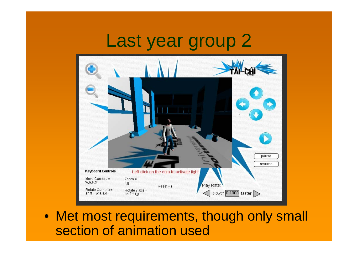### Last year group 2



• Met most requirements, though only small section of animation used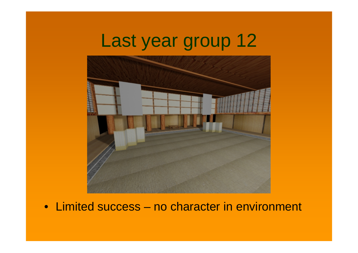### Last year group 12



• Limited success – no character in environment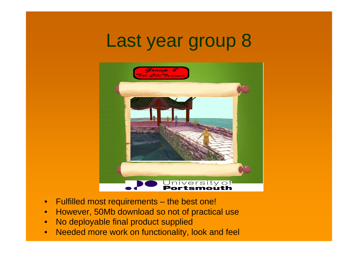### Last year group 8



- $\bullet$ Fulfilled most requirements – the best one!
- •However, 50Mb download so not of practical use
- $\bullet$ No deployable final product supplied
- $\bullet$ Needed more work on functionality, look and feel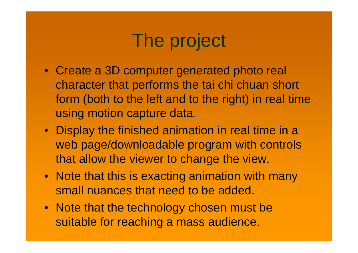# The project

- Create a 3D computer generated photo real character that performs the tai chi chuan short form (both to the left and to the right) in real time using motion capture data.
- Display the finished animation in real time in a web page/downloadable program with controls that allow the viewer to change the view.
- Note that this is exacting animation with many small nuances that need to be added.
- Note that the technology chosen must be suitable for reaching a mass audience.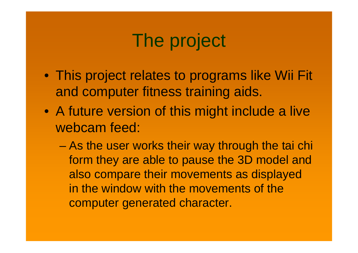# The project

- This project relates to programs like Wii Fit and computer fitness training aids.
- A future version of this might include a live webcam feed:
	- As the user works their way through the tai chi form they are able to pause the 3D model and also compare their movements as displayed in the window with the movements of the computer generated character.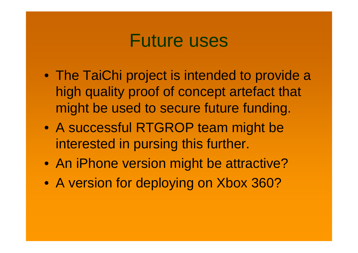#### Future uses

- The TaiChi project is intended to provide a high quality proof of concept artefact that might be used to secure future funding.
- A successful RTGROP team might be interested in pursing this further.
- An iPhone version might be attractive?
- A version for deploying on Xbox 360?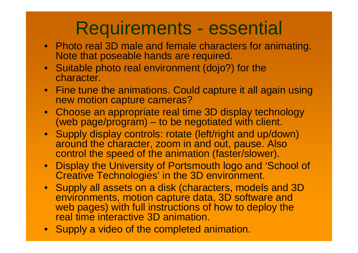# Requirements - essential

- Photo real 3D male and female characters for animating. Note that poseable hands are required.
- Suitable photo real environment (dojo?) for the character.
- Fine tune the animations. Could capture it all again using new motion capture cameras?
- Choose an appropriate real time 3D display technology (web page/program) – to be negotiated with client.
- Supply display controls: rotate (left/right and up/down) around the character, zoom in and out, pause. Also control the speed of the animation (faster/slower).
- Display the University of Portsmouth logo and 'School of Creative Technologies' in the 3D environment.
- Supply all assets on a disk (characters, models and 3D environments, motion capture data, 3D software and web pages) with full instructions of how to deploy the real time interactive 3D animation.
- Supply a video of the completed animation.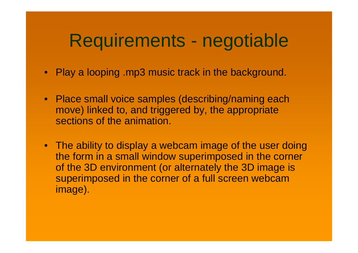### Requirements - negotiable

- Play a looping .mp3 music track in the background.
- Place small voice samples (describing/naming each move) linked to, and triggered by, the appropriate sections of the animation.
- The ability to display a webcam image of the user doing the form in a small window superimposed in the corner of the 3D environment (or alternately the 3D image is superimposed in the corner of a full screen webcam image).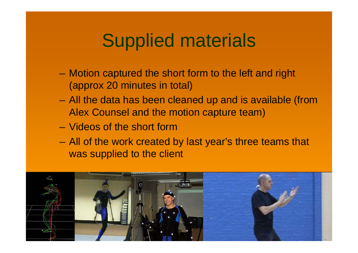### Supplied materials

- – Motion captured the short form to the left and right (approx 20 minutes in total)
- All the data has been cleaned up and is available (from Alex Counsel and the motion capture team)
- Videos of the short form
- All of the work created by last year's three teams that was supplied to the client

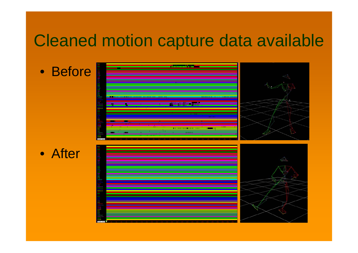#### Cleaned motion capture data available

• Before

• After

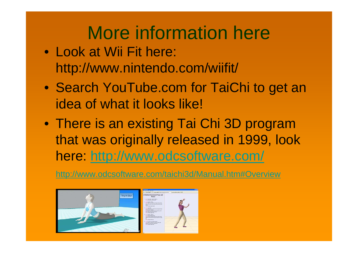# More information here

- Look at Wii Fit here: http://www.nintendo.com/wiifit/
- Search YouTube.com for TaiChi to get an idea of what it looks like!
- There is an existing Tai Chi 3D program that was originally released in 1999, look here: http://www.odcsoftware.com/

http://www.odcsoftware.com/taichi3d/Manual.htm#Overview